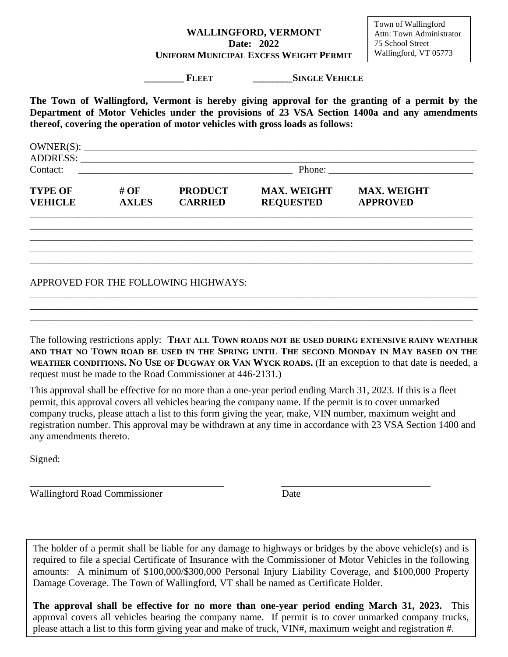## **WALLINGFORD, VERMONT Date: 2022 UNIFORM MUNICIPAL EXCESS WEIGHT PERMIT**

**\_\_\_\_\_\_\_\_ FLEET \_\_\_\_\_\_\_\_SINGLE VEHICLE**

**The Town of Wallingford, Vermont is hereby giving approval for the granting of a permit by the Department of Motor Vehicles under the provisions of 23 VSA Section 1400a and any amendments thereof, covering the operation of motor vehicles with gross loads as follows:**

| Contact:        |  | Phone: |  |
|-----------------|--|--------|--|
| <b>ADDRESS:</b> |  |        |  |
| OWNER(S):       |  |        |  |

| <b>TYPE OF</b><br># $OF$<br><b>VEHICLE</b><br><b>AXLES</b> | <b>PRODUCT</b><br><b>CARRIED</b> | <b>MAX. WEIGHT</b><br><b>REQUESTED</b> | <b>MAX. WEIGHT</b><br><b>APPROVED</b> |
|------------------------------------------------------------|----------------------------------|----------------------------------------|---------------------------------------|
|------------------------------------------------------------|----------------------------------|----------------------------------------|---------------------------------------|

\_\_\_\_\_\_\_\_\_\_\_\_\_\_\_\_\_\_\_\_\_\_\_\_\_\_\_\_\_\_\_\_\_\_\_\_\_\_\_\_\_\_\_\_\_\_\_\_\_\_\_\_\_\_\_\_\_\_\_\_\_\_\_\_\_\_\_\_\_\_\_\_\_\_\_\_\_\_\_\_\_\_\_\_\_\_\_\_\_ \_\_\_\_\_\_\_\_\_\_\_\_\_\_\_\_\_\_\_\_\_\_\_\_\_\_\_\_\_\_\_\_\_\_\_\_\_\_\_\_\_\_\_\_\_\_\_\_\_\_\_\_\_\_\_\_\_\_\_\_\_\_\_\_\_\_\_\_\_\_\_\_\_\_\_\_\_\_\_\_\_\_\_\_\_\_\_\_\_ \_\_\_\_\_\_\_\_\_\_\_\_\_\_\_\_\_\_\_\_\_\_\_\_\_\_\_\_\_\_\_\_\_\_\_\_\_\_\_\_\_\_\_\_\_\_\_\_\_\_\_\_\_\_\_\_\_\_\_\_\_\_\_\_\_\_\_\_\_\_\_\_\_\_\_\_\_\_\_\_\_\_\_\_\_\_\_\_\_ \_\_\_\_\_\_\_\_\_\_\_\_\_\_\_\_\_\_\_\_\_\_\_\_\_\_\_\_\_\_\_\_\_\_\_\_\_\_\_\_\_\_\_\_\_\_\_\_\_\_\_\_\_\_\_\_\_\_\_\_\_\_\_\_\_\_\_\_\_\_\_\_\_\_\_\_\_\_\_\_\_\_\_\_\_\_\_\_\_

## APPROVED FOR THE FOLLOWING HIGHWAYS:

The following restrictions apply: **THAT ALL TOWN ROADS NOT BE USED DURING EXTENSIVE RAINY WEATHER AND THAT NO TOWN ROAD BE USED IN THE SPRING UNTIL THE SECOND MONDAY IN MAY BASED ON THE WEATHER CONDITIONS. NO USE OF DUGWAY OR VAN WYCK ROADS.** (If an exception to that date is needed, a request must be made to the Road Commissioner at 446-2131.)

\_\_\_\_\_\_\_\_\_\_\_\_\_\_\_\_\_\_\_\_\_\_\_\_\_\_\_\_\_\_\_\_\_\_\_\_\_\_\_\_\_\_\_\_\_\_\_\_\_\_\_\_\_\_\_\_\_\_\_\_\_\_\_\_\_\_\_\_\_\_\_\_\_\_\_\_\_\_\_\_\_\_\_\_\_\_\_\_\_\_ \_\_\_\_\_\_\_\_\_\_\_\_\_\_\_\_\_\_\_\_\_\_\_\_\_\_\_\_\_\_\_\_\_\_\_\_\_\_\_\_\_\_\_\_\_\_\_\_\_\_\_\_\_\_\_\_\_\_\_\_\_\_\_\_\_\_\_\_\_\_\_\_\_\_\_\_\_\_\_\_\_\_\_\_\_\_\_\_\_\_ \_\_\_\_\_\_\_\_\_\_\_\_\_\_\_\_\_\_\_\_\_\_\_\_\_\_\_\_\_\_\_\_\_\_\_\_\_\_\_\_\_\_\_\_\_\_\_\_\_\_\_\_\_\_\_\_\_\_\_\_\_\_\_\_\_\_\_\_\_\_\_\_\_\_\_\_\_\_\_\_\_\_\_\_\_\_\_\_\_

This approval shall be effective for no more than a one-year period ending March 31, 2023. If this is a fleet permit, this approval covers all vehicles bearing the company name. If the permit is to cover unmarked company trucks, please attach a list to this form giving the year, make, VIN number, maximum weight and registration number. This approval may be withdrawn at any time in accordance with 23 VSA Section 1400 and any amendments thereto.

\_\_\_\_\_\_\_\_\_\_\_\_\_\_\_\_\_\_\_\_\_\_\_\_\_\_\_\_\_\_\_\_\_\_\_\_\_\_\_ \_\_\_\_\_\_\_\_\_\_\_\_\_\_\_\_\_\_\_\_\_\_\_\_\_\_\_\_\_\_

Signed:

Wallingford Road Commissioner Date

The holder of a permit shall be liable for any damage to highways or bridges by the above vehicle(s) and is required to file a special Certificate of Insurance with the Commissioner of Motor Vehicles in the following amounts: A minimum of \$100,000/\$300,000 Personal Injury Liability Coverage, and \$100,000 Property Damage Coverage. The Town of Wallingford, VT shall be named as Certificate Holder.

**The approval shall be effective for no more than one-year period ending March 31, 2023.** This approval covers all vehicles bearing the company name. If permit is to cover unmarked company trucks, please attach a list to this form giving year and make of truck, VIN#, maximum weight and registration #.